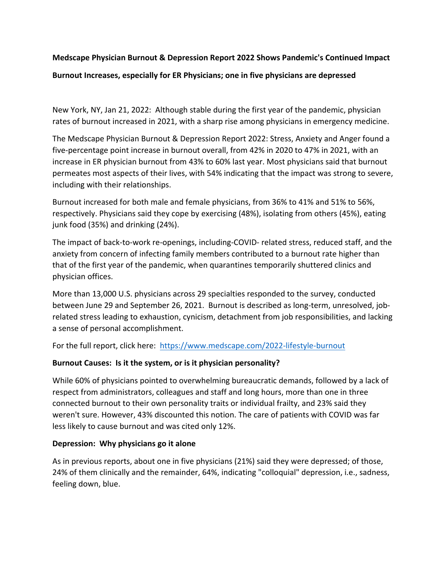# **Medscape Physician Burnout & Depression Report 2022 Shows Pandemic's Continued Impact Burnout Increases, especially for ER Physicians; one in five physicians are depressed**

New York, NY, Jan 21, 2022: Although stable during the first year of the pandemic, physician rates of burnout increased in 2021, with a sharp rise among physicians in emergency medicine.

The Medscape Physician Burnout & Depression Report 2022: Stress, Anxiety and Anger found a five-percentage point increase in burnout overall, from 42% in 2020 to 47% in 2021, with an increase in ER physician burnout from 43% to 60% last year. Most physicians said that burnout permeates most aspects of their lives, with 54% indicating that the impact was strong to severe, including with their relationships.

Burnout increased for both male and female physicians, from 36% to 41% and 51% to 56%, respectively. Physicians said they cope by exercising (48%), isolating from others (45%), eating junk food (35%) and drinking (24%).

The impact of back-to-work re-openings, including-COVID- related stress, reduced staff, and the anxiety from concern of infecting family members contributed to a burnout rate higher than that of the first year of the pandemic, when quarantines temporarily shuttered clinics and physician offices.

More than 13,000 U.S. physicians across 29 specialties responded to the survey, conducted between June 29 and September 26, 2021. Burnout is described as long-term, unresolved, jobrelated stress leading to exhaustion, cynicism, detachment from job responsibilities, and lacking a sense of personal accomplishment.

For the full report, click here: <https://www.medscape.com/2022-lifestyle-burnout>

# **Burnout Causes: Is it the system, or is it physician personality?**

While 60% of physicians pointed to overwhelming bureaucratic demands, followed by a lack of respect from administrators, colleagues and staff and long hours, more than one in three connected burnout to their own personality traits or individual frailty, and 23% said they weren't sure. However, 43% discounted this notion. The care of patients with COVID was far less likely to cause burnout and was cited only 12%.

### **Depression: Why physicians go it alone**

As in previous reports, about one in five physicians (21%) said they were depressed; of those, 24% of them clinically and the remainder, 64%, indicating "colloquial" depression, i.e., sadness, feeling down, blue.